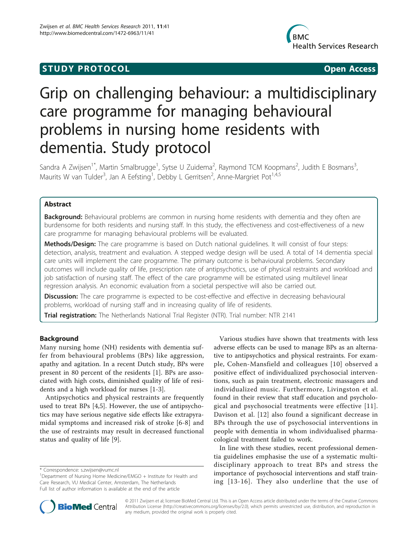## **STUDY PROTOCOL** And the state of the state of the state of the state of the state of the state of the state of the state of the state of the state of the state of the state of the state of the state of the state of the st



# Grip on challenging behaviour: a multidisciplinary care programme for managing behavioural problems in nursing home residents with dementia. Study protocol

Sandra A Zwijsen<sup>1\*</sup>, Martin Smalbrugge<sup>1</sup>, Sytse U Zuidema<sup>2</sup>, Raymond TCM Koopmans<sup>2</sup>, Judith E Bosmans<sup>3</sup> , Maurits W van Tulder<sup>3</sup>, Jan A Eefsting<sup>1</sup>, Debby L Gerritsen<sup>2</sup>, Anne-Margriet Pot<sup>1,4,5</sup>

## Abstract

Background: Behavioural problems are common in nursing home residents with dementia and they often are burdensome for both residents and nursing staff. In this study, the effectiveness and cost-effectiveness of a new care programme for managing behavioural problems will be evaluated.

Methods/Design: The care programme is based on Dutch national guidelines. It will consist of four steps: detection, analysis, treatment and evaluation. A stepped wedge design will be used. A total of 14 dementia special care units will implement the care programme. The primary outcome is behavioural problems. Secondary outcomes will include quality of life, prescription rate of antipsychotics, use of physical restraints and workload and job satisfaction of nursing staff. The effect of the care programme will be estimated using multilevel linear regression analysis. An economic evaluation from a societal perspective will also be carried out.

Discussion: The care programme is expected to be cost-effective and effective in decreasing behavioural problems, workload of nursing staff and in increasing quality of life of residents.

Trial registration: The Netherlands National Trial Register (NTR). Trial number: [NTR 2141](http://www.trialregister.nl/trialreg/admin/rctview.asp?TC=2141)

## Background

Many nursing home (NH) residents with dementia suffer from behavioural problems (BPs) like aggression, apathy and agitation. In a recent Dutch study, BPs were present in 80 percent of the residents [\[1](#page-4-0)]. BPs are associated with high costs, diminished quality of life of residents and a high workload for nurses [\[1-3](#page-4-0)].

Antipsychotics and physical restraints are frequently used to treat BPs [[4,5\]](#page-4-0). However, the use of antipsychotics may have serious negative side effects like extrapyramidal symptoms and increased risk of stroke [[6-8\]](#page-4-0) and the use of restraints may result in decreased functional status and quality of life [\[9](#page-4-0)].

Various studies have shown that treatments with less adverse effects can be used to manage BPs as an alternative to antipsychotics and physical restraints. For example, Cohen-Mansfield and colleagues [\[10\]](#page-4-0) observed a positive effect of individualized psychosocial interventions, such as pain treatment, electronic massagers and individualized music. Furthermore, Livingston et al. found in their review that staff education and psychological and psychosocial treatments were effective [[11\]](#page-4-0). Davison et al. [\[12](#page-4-0)] also found a significant decrease in BPs through the use of psychosocial interventions in people with dementia in whom individualised pharmacological treatment failed to work.

In line with these studies, recent professional dementia guidelines emphasise the use of a systematic multidisciplinary approach to treat BPs and stress the importance of psychosocial interventions and staff training [[13-16\]](#page-4-0). They also underline that the use of



© 2011 Zwijsen et al; licensee BioMed Central Ltd. This is an Open Access article distributed under the terms of the Creative Commons Attribution License [\(http://creativecommons.org/licenses/by/2.0](http://creativecommons.org/licenses/by/2.0)), which permits unrestricted use, distribution, and reproduction in any medium, provided the original work is properly cited.

<sup>\*</sup> Correspondence: [s.zwijsen@vumc.nl](mailto:s.zwijsen@vumc.nl)

<sup>&</sup>lt;sup>1</sup>Department of Nursing Home Medicine/EMGO + Institute for Health and Care Research, VU Medical Center, Amsterdam, The Netherlands Full list of author information is available at the end of the article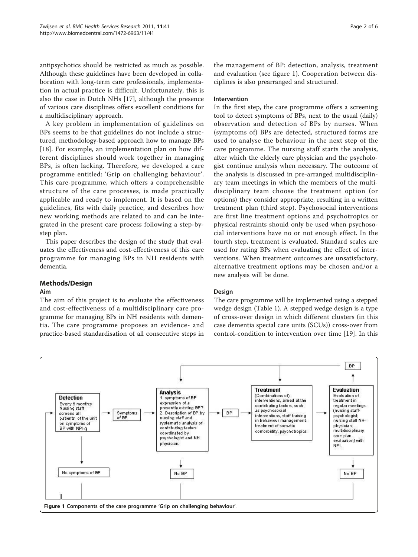antipsychotics should be restricted as much as possible. Although these guidelines have been developed in collaboration with long-term care professionals, implementation in actual practice is difficult. Unfortunately, this is also the case in Dutch NHs [\[17](#page-4-0)], although the presence of various care disciplines offers excellent conditions for a multidisciplinary approach.

A key problem in implementation of guidelines on BPs seems to be that guidelines do not include a structured, methodology-based approach how to manage BPs [[18\]](#page-4-0). For example, an implementation plan on how different disciplines should work together in managing BPs, is often lacking. Therefore, we developed a care programme entitled: 'Grip on challenging behaviour'. This care-programme, which offers a comprehensible structure of the care processes, is made practically applicable and ready to implement. It is based on the guidelines, fits with daily practice, and describes how new working methods are related to and can be integrated in the present care process following a step-bystep plan.

This paper describes the design of the study that evaluates the effectiveness and cost-effectiveness of this care programme for managing BPs in NH residents with dementia.

## Methods/Design

#### Aim

The aim of this project is to evaluate the effectiveness and cost-effectiveness of a multidisciplinary care programme for managing BPs in NH residents with dementia. The care programme proposes an evidence- and practice-based standardisation of all consecutive steps in

the management of BP: detection, analysis, treatment and evaluation (see figure 1). Cooperation between disciplines is also prearranged and structured.

## Intervention

In the first step, the care programme offers a screening tool to detect symptoms of BPs, next to the usual (daily) observation and detection of BPs by nurses. When (symptoms of) BPs are detected, structured forms are used to analyse the behaviour in the next step of the care programme. The nursing staff starts the analysis, after which the elderly care physician and the psychologist continue analysis when necessary. The outcome of the analysis is discussed in pre-arranged multidisciplinary team meetings in which the members of the multidisciplinary team choose the treatment option (or options) they consider appropriate, resulting in a written treatment plan (third step). Psychosocial interventions are first line treatment options and psychotropics or physical restraints should only be used when psychosocial interventions have no or not enough effect. In the fourth step, treatment is evaluated. Standard scales are used for rating BPs when evaluating the effect of interventions. When treatment outcomes are unsatisfactory, alternative treatment options may be chosen and/or a new analysis will be done.

### Design

The care programme will be implemented using a stepped wedge design (Table [1\)](#page-2-0). A stepped wedge design is a type of cross-over design in which different clusters (in this case dementia special care units (SCUs)) cross-over from control-condition to intervention over time [[19](#page-4-0)]. In this

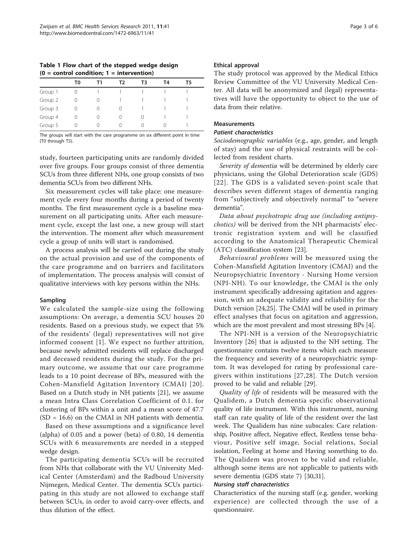<span id="page-2-0"></span>Table 1 Flow chart of the stepped wedge design  $(0 = control condition; 1 = intervention)$ 

|         | T0               | Т1 | Т2 | T3 | T4 | Τ5 |
|---------|------------------|----|----|----|----|----|
| Group 1 |                  |    |    |    |    |    |
| Group 2 |                  |    |    |    |    |    |
| Group 3 |                  |    |    |    |    |    |
| Group 4 | $\left( \right)$ |    |    |    |    |    |
| Group 5 | $\left( \right)$ |    |    |    |    |    |

The groups will start with the care programme on six different point in time (T0 through T5).

study, fourteen participating units are randomly divided over five groups. Four groups consist of three dementia SCUs from three different NHs, one group consists of two dementia SCUs from two different NHs.

Six measurement cycles will take place: one measurement cycle every four months during a period of twenty months. The first measurement cycle is a baseline measurement on all participating units. After each measurement cycle, except the last one, a new group will start the intervention. The moment after which measurement cycle a group of units will start is randomised.

A process analysis will be carried out during the study on the actual provision and use of the components of the care programme and on barriers and facilitators of implementation. The process analysis will consist of qualitative interviews with key persons within the NHs.

#### Sampling

We calculated the sample-size using the following assumptions: On average, a dementia SCU houses 20 residents. Based on a previous study, we expect that 5% of the residents' (legal) representatives will not give informed consent [[1](#page-4-0)]. We expect no further attrition, because newly admitted residents will replace discharged and deceased residents during the study. For the primary outcome, we assume that our care programme leads to a 10 point decrease of BPs, measured with the Cohen-Mansfield Agitation Inventory (CMAI) [[20\]](#page-4-0). Based on a Dutch study in NH patients [[21](#page-4-0)], we assume a mean Intra Class Correlation Coefficient of 0.1. for clustering of BPs within a unit and a mean score of 47.7 (SD = 16.6) on the CMAI in NH patients with dementia.

Based on these assumptions and a significance level (alpha) of 0.05 and a power (beta) of 0.80, 14 dementia SCUs with 6 measurements are needed in a stepped wedge design.

The participating dementia SCUs will be recruited from NHs that collaborate with the VU University Medical Center (Amsterdam) and the Radboud University Nijmegen, Medical Center. The dementia SCUs participating in this study are not allowed to exchange staff between SCUs, in order to avoid carry-over effects, and thus dilution of the effect.

#### Ethical approval

The study protocol was approved by the Medical Ethics Review Committee of the VU University Medical Center. All data will be anonymized and (legal) representatives will have the opportunity to object to the use of data from their relative.

#### **Measurements**

#### Patient characteristics

Sociodemographic variables (e.g., age, gender, and length of stay) and the use of physical restraints will be collected from resident charts.

Severity of dementia will be determined by elderly care physicians, using the Global Deterioration scale (GDS) [[22](#page-4-0)]. The GDS is a validated seven-point scale that describes seven different stages of dementia ranging from "subjectively and objectively normal" to "severe dementia".

Data about psychotropic drug use (including antipsychotics) will be derived from the NH pharmacists' electronic registration system and will be classified according to the Anatomical Therapeutic Chemical (ATC) classification system [\[23\]](#page-4-0).

Behavioural problems will be measured using the Cohen-Mansfield Agitation Inventory (CMAI) and the Neuropsychiatric Inventory - Nursing Home version (NPI-NH). To our knowledge, the CMAI is the only instrument specifically addressing agitation and aggression, with an adequate validity and reliability for the Dutch version [[24,25\]](#page-4-0). The CMAI will be used in primary effect analyses that focus on agitation and aggression, which are the most prevalent and most stressing BPs [[4\]](#page-4-0).

The NPI-NH is a version of the Neuropsychiatric Inventory [[26\]](#page-4-0) that is adjusted to the NH setting. The questionnaire contains twelve items which each measure the frequency and severity of a neuropsychiatric symptom. It was developed for rating by professional caregivers within institutions [[27](#page-4-0),[28](#page-4-0)]. The Dutch version proved to be valid and reliable [[29](#page-4-0)].

Quality of life of residents will be measured with the Qualidem, a Dutch dementia specific observational quality of life instrument. With this instrument, nursing staff can rate quality of life of the resident over the last week. The Qualidem has nine subscales: Care relationship, Positive affect, Negative effect, Restless tense behaviour, Positive self image, Social relations, Social isolation, Feeling at home and Having something to do. The Qualidem was proven to be valid and reliable, although some items are not applicable to patients with severe dementia (GDS state 7) [[30,31](#page-5-0)].

#### Nursing staff characteristics

Characteristics of the nursing staff (e.g. gender, working experience) are collected through the use of a questionnaire.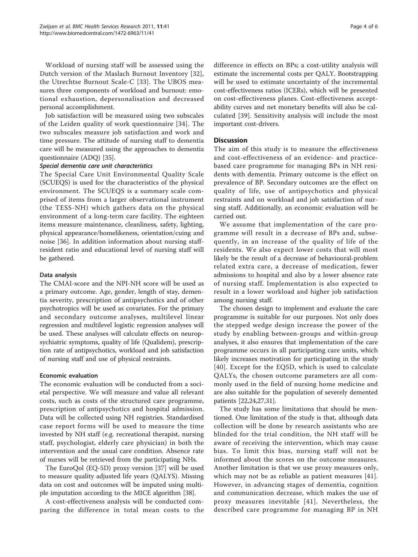Workload of nursing staff will be assessed using the Dutch version of the Maslach Burnout Inventory [[32\]](#page-5-0), the Utrechtse Burnout Scale-C [[33\]](#page-5-0). The UBOS measures three components of workload and burnout: emotional exhaustion, depersonalisation and decreased personal accomplishment.

Job satisfaction will be measured using two subscales of the Leiden quality of work questionnaire [[34](#page-5-0)]. The two subscales measure job satisfaction and work and time pressure. The attitude of nursing staff to dementia care will be measured using the approaches to dementia questionnaire (ADQ) [\[35](#page-5-0)].

#### Special dementia care unit characteristics

The Special Care Unit Environmental Quality Scale (SCUEQS) is used for the characteristics of the physical environment. The SCUEQS is a summary scale comprised of items from a larger observational instrument (the TESS-NH) which gathers data on the physical environment of a long-term care facility. The eighteen items measure maintenance, cleanliness, safety, lighting, physical appearance/homelikeness, orientation/cuing and noise [\[36](#page-5-0)]. In addition information about nursing staffresident ratio and educational level of nursing staff will be gathered.

#### Data analysis

The CMAI-score and the NPI-NH score will be used as a primary outcome. Age, gender, length of stay, dementia severity, prescription of antipsychotics and of other psychotropics will be used as covariates. For the primary and secondary outcome analyses, multilevel linear regression and multilevel logistic regression analyses will be used. These analyses will calculate effects on neuropsychiatric symptoms, quality of life (Qualidem), prescription rate of antipsychotics, workload and job satisfaction of nursing staff and use of physical restraints.

#### Economic evaluation

The economic evaluation will be conducted from a societal perspective. We will measure and value all relevant costs, such as costs of the structured care programme, prescription of antipsychotics and hospital admission. Data will be collected using NH registries. Standardised case report forms will be used to measure the time invested by NH staff (e.g. recreational therapist, nursing staff, psychologist, elderly care physician) in both the intervention and the usual care condition. Absence rate of nurses will be retrieved from the participating NHs.

The EuroQol (EQ-5D) proxy version [\[37](#page-5-0)] will be used to measure quality adjusted life years (QALYS). Missing data on cost and outcomes will be imputed using multiple imputation according to the MICE algorithm [\[38\]](#page-5-0).

A cost-effectiveness analysis will be conducted comparing the difference in total mean costs to the

difference in effects on BPs; a cost-utility analysis will estimate the incremental costs per QALY. Bootstrapping will be used to estimate uncertainty of the incremental cost-effectiveness ratios (ICERs), which will be presented on cost-effectiveness planes. Cost-effectiveness acceptability curves and net monetary benefits will also be calculated [[39\]](#page-5-0). Sensitivity analysis will include the most important cost-drivers.

#### **Discussion**

The aim of this study is to measure the effectiveness and cost-effectiveness of an evidence- and practicebased care programme for managing BPs in NH residents with dementia. Primary outcome is the effect on prevalence of BP. Secondary outcomes are the effect on quality of life, use of antipsychotics and physical restraints and on workload and job satisfaction of nursing staff. Additionally, an economic evaluation will be carried out.

We assume that implementation of the care programme will result in a decrease of BPs and, subsequently, in an increase of the quality of life of the residents. We also expect lower costs that will most likely be the result of a decrease of behavioural-problem related extra care, a decrease of medication, fewer admissions to hospital and also by a lower absence rate of nursing staff. Implementation is also expected to result in a lower workload and higher job satisfaction among nursing staff.

The chosen design to implement and evaluate the care programme is suitable for our purposes. Not only does the stepped wedge design increase the power of the study by enabling between-groups and within-group analyses, it also ensures that implementation of the care programme occurs in all participating care units, which likely increases motivation for participating in the study [[40](#page-5-0)]. Except for the EQ5D, which is used to calculate QALYs, the chosen outcome parameters are all commonly used in the field of nursing home medicine and are also suitable for the population of severely demented patients [\[22,24,27,](#page-4-0)[31\]](#page-5-0).

The study has some limitations that should be mentioned. One limitation of the study is that, although data collection will be done by research assistants who are blinded for the trial condition, the NH staff will be aware of receiving the intervention, which may cause bias. To limit this bias, nursing staff will not be informed about the scores on the outcome measures. Another limitation is that we use proxy measures only, which may not be as reliable as patient measures [[41](#page-5-0)]. However, in advancing stages of dementia, cognition and communication decrease, which makes the use of proxy measures inevitable [[41](#page-5-0)]. Nevertheless, the described care programme for managing BP in NH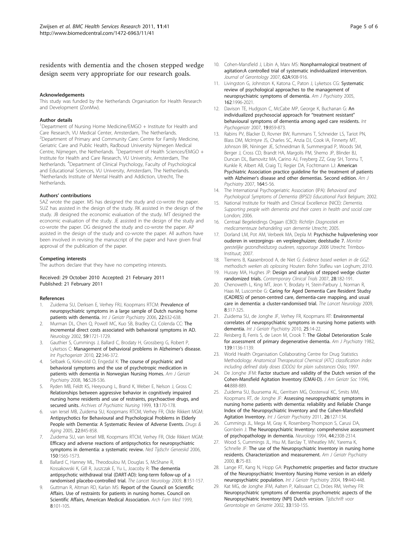<span id="page-4-0"></span>residents with dementia and the chosen stepped wedge design seem very appropriate for our research goals.

#### Acknowledgements

This study was funded by the Netherlands Organisation for Health Research and Development (ZonMw).

#### Author details

<sup>1</sup>Department of Nursing Home Medicine/EMGO + Institute for Health and Care Research, VU Medical Center, Amsterdam, The Netherlands. <sup>2</sup>Department of Primary and Community Care: Centre for Family Medicine, Geriatric Care and Public Health, Radboud University Nijmegen Medical Centre, Nijmegen, the Netherlands. <sup>3</sup>Department of Health Sciences/EMGO + Institute for Health and Care Research, VU University, Amsterdam, The Netherlands. <sup>4</sup>Department of Clinical Psychology, Faculty of Psychological and Educational Sciences, VU University, Amsterdam, The Netherlands. 5 Netherlands Institute of Mental Health and Addiction, Utrecht, The Netherlands.

#### Authors' contributions

SAZ wrote the paper. MS has designed the study and co-wrote the paper. SUZ has assisted in the design of the study. RK assisted in the design of the study. JB designed the economic evaluation of the study. MT designed the economic evaluation of the study. JE assisted in the design of the study and co-wrote the paper. DG designed the study and co-wrote the paper. AP assisted in the design of the study and co-wrote the paper. All authors have been involved in revising the manuscript of the paper and have given final approval of the publication of the paper.

#### Competing interests

The authors declare that they have no competing interests.

#### Received: 29 October 2010 Accepted: 21 February 2011 Published: 21 February 2011

#### References

- 1. Zuidema SU, Derksen E, Verhey FRJ, Koopmans RTCM: Prevalence of neuropsychiatric symptoms in a large sample of Dutch nursing home patients with dementia. Int J Geriatr Psychiatry 2006, 22:632-638.
- 2. Murman DL, Chen Q, Powell MC, Kuo SB, Bradley CJ, Colenda CC: [The](http://www.ncbi.nlm.nih.gov/pubmed/12473759?dopt=Abstract) [incremental direct costs associated with behavioral symptoms in AD.](http://www.ncbi.nlm.nih.gov/pubmed/12473759?dopt=Abstract) Neurology 2002, 59:1721-1729.
- 3. Gauthier S, Cummings J, Ballard C, Brodaty H, Grossberg G, Robert P, Lyketsos C: [Management of behavioral problems in Alzheimer](http://www.ncbi.nlm.nih.gov/pubmed/20096151?dopt=Abstract)'s disease. Int Psychogeriatr 2010, 22:346-372.
- Selbaek G, Kirkevold O, Engedal K: [The course of psychiatric and](http://www.ncbi.nlm.nih.gov/pubmed/18591573?dopt=Abstract) [behavioral symptoms and the use of psychotropic medication in](http://www.ncbi.nlm.nih.gov/pubmed/18591573?dopt=Abstract) [patients with dementia in Norwegian Nursing Homes.](http://www.ncbi.nlm.nih.gov/pubmed/18591573?dopt=Abstract) Am J Geriatr Psychiatry 2008, 16:528-536.
- 5. Ryden MB, Feldt KS, Heeyoung L, Brand K, Weber E, Nelson J, Gross C: [Relationships between aggressive behavior in cognitively impaired](http://www.ncbi.nlm.nih.gov/pubmed/10478495?dopt=Abstract) [nursing home residents and use of restraints, psychoactive drugs, and](http://www.ncbi.nlm.nih.gov/pubmed/10478495?dopt=Abstract) [secured units.](http://www.ncbi.nlm.nih.gov/pubmed/10478495?dopt=Abstract) Archives of Psychiatric Nursing 1999, 13:170-178.
- 6. van Iersel MB, Zuidema SU, Koopmans RTCM, Verhey FR, Olde Rikkert MGM: Antipsychotics for Behavioural and Psychological Problems in Elderly People with Dementia: A Systematic Review of Adverse Events. Drugs & Aging 2005, 22:845-858.
- 7. Zuidema SU, van Iersel MB, Koopmans RTCM, Verhey FR, Olde Rikkert MGM: [Efficacy and adverse reactions of antipsychotics for neuropsychiatric](http://www.ncbi.nlm.nih.gov/pubmed/16886695?dopt=Abstract) [symptoms in dementia: a systematic review.](http://www.ncbi.nlm.nih.gov/pubmed/16886695?dopt=Abstract) Ned Tijdschr Geneeskd 2006, 150:1565-1573.
- 8. Ballard C, Hanney ML, Theodoulou M, Douglas S, McShane R, Kossakowski K, Gill R, Juszczak E, Yu L, Joacoby R: The dementia antipsychotic withdrawal trial (DART-AD): long-term follow-up of a randomised placebo-controlled trial. The Lancet Neurology 2009, 8:151-157.
- Guttman R, Altman RD, Karlan MS: [Report of the Council on Scientific](http://www.ncbi.nlm.nih.gov/pubmed/10101979?dopt=Abstract) [Affairs. Use of restraints for patients in nursing homes. Council on](http://www.ncbi.nlm.nih.gov/pubmed/10101979?dopt=Abstract) [Scientific Affairs, American Medical Association.](http://www.ncbi.nlm.nih.gov/pubmed/10101979?dopt=Abstract) Arch Fam Med 1999, 8:101-105.
- 10. Cohen-Mansfield J, Libin A, Marx MS: Nonpharmalogical treatment of agitation:A controlled trial of systematic individualized intervention. Journal of Gerontology 2007, 62A:908-916.
- 11. Livingston G, Johnston K, Katona C, Paton J, Lyketsos CG: [Systematic](http://www.ncbi.nlm.nih.gov/pubmed/16263837?dopt=Abstract) [review of psychological approaches to the management of](http://www.ncbi.nlm.nih.gov/pubmed/16263837?dopt=Abstract) [neuropsychiatric symptoms of dementia.](http://www.ncbi.nlm.nih.gov/pubmed/16263837?dopt=Abstract) Am J Psychiatry 2005, 162:1996-2021.
- 12. Davison TE, Hudgson C, McCabe MP, George K, Buchanan G: [An](http://www.ncbi.nlm.nih.gov/pubmed/16973098?dopt=Abstract) [individualized psychosocial approach for](http://www.ncbi.nlm.nih.gov/pubmed/16973098?dopt=Abstract) "treatment resistant" [behavioural symptoms of dementia among aged care residents.](http://www.ncbi.nlm.nih.gov/pubmed/16973098?dopt=Abstract) Int Psychogeriatr 2007, 19:859-873.
- 13. Rabins PV, Blacker D, Rovner BW, Rummans T, Schneider LS, Tariot PN, Blass DM, McIntyre JS, Charles SC, Anzia DJ, Cook IA, Finnerty MT, Johnson BR, Nininger JE, Schneidman B, Summergrad P, Woods SM, Berger J, Cross CD, Brandt HA, Margolis PM, Shemo JP, Blinder BJ, Duncan DL, Barnovitz MA, Carino AJ, Freyberg ZZ, Gray SH, Tonnu T, Kunkle R, Albert AB, Craig TJ, Regier DA, Fochtmann LJ: [American](http://www.ncbi.nlm.nih.gov/pubmed/18340692?dopt=Abstract) [Psychiatric Association practice guideline for the treatment of patients](http://www.ncbi.nlm.nih.gov/pubmed/18340692?dopt=Abstract) with Alzheimer'[s disease and other dementias. Second edition.](http://www.ncbi.nlm.nih.gov/pubmed/18340692?dopt=Abstract)  $Am$ . Psychiatry 2007, 164:5-56.
- 14. The International Psychogeriatric Association (IPA): Behavioral and Psychological Symptoms of Dementia (BPSD) Educational Pack Belgium; 2002.
- 15. National Institute for Health and Clinical Excellence (NICE): Dementia. Supporting people with dementia and their carers in health and social care London; 2006.
- 16. Centraal Begeleidings Orgaan (CBO): Richtlijn Diagnostiek en medicamenteuze behandeling van dementie Utrecht; 2005.
- 17. Dorland LM, Pot AM, Verbeek MA, Depla M: Psychische hulpverlening voor ouderen in verzorgings- en verpleeghuizen; deelstudie 7. Monitor geestelijke gezondheidszorg ouderen, rapportage 2006 Utrecht: Trimbos-Instituut; 2007.
- 18. Tiemens B, Kaasenbrood A, de Niet G: Evidence based werken in de GGZ: methodisch werken als oplossing Houten: Bohn Stafleu van Loghum; 2010.
- 19. Hussey MA, Hughes JP: [Design and analysis of stepped wedge cluster](http://www.ncbi.nlm.nih.gov/pubmed/16829207?dopt=Abstract) [randomized trials.](http://www.ncbi.nlm.nih.gov/pubmed/16829207?dopt=Abstract) Contemporary Clinical Trials 2007, 28:182-191.
- 20. Chenoweth L, King MT, Jeon Y, Brodaty H, Stein-Parbury J, Norman R, Haas M, Luscombe G: Caring for Aged Dementia Care Resident Studsy (CADRES) of person-centred care, dementia-care mapping, and usual care in dementia: a cluster-randomised trial. The Lancet Neurology 2009, 8:317-325.
- 21. Zuidema SU, de Jonghe JF, Verhey FR, Koopmans RT: [Environmental](http://www.ncbi.nlm.nih.gov/pubmed/19517419?dopt=Abstract) [correlates of neuropsychiatric symptoms in nursing home patients with](http://www.ncbi.nlm.nih.gov/pubmed/19517419?dopt=Abstract) [dementia.](http://www.ncbi.nlm.nih.gov/pubmed/19517419?dopt=Abstract) Int J Geriatr Psychiatry 2010, 25:14-22.
- 22. Reisberg B, Ferris S, de Leon M, Crook T: [The Global Deterioration Scale](http://www.ncbi.nlm.nih.gov/pubmed/7114305?dopt=Abstract) [for assessment of primary degenerative dementia.](http://www.ncbi.nlm.nih.gov/pubmed/7114305?dopt=Abstract) Am J Psychiatry 1982, 139:1136-1139.
- 23. World Health Organisation Collaborating Centre for Drug Statistics Methodology: Anatomical Therapeutical Chemical (ATC) classification index including defined daily doses (DDDs) for plain substances Oslo; 1997.
- 24. De Jonghe JFM: [Factor stucture and validity of the Dutch version of the](http://www.ncbi.nlm.nih.gov/pubmed/8675952?dopt=Abstract) [Cohen-Mansfield Agitation Inventory \(CMAI-D\).](http://www.ncbi.nlm.nih.gov/pubmed/8675952?dopt=Abstract) J Am Geriatr Soc 1996, 44:888-889.
- 25. Zuidema SU, Buursema AL, Gerritsen MG, Oosterwal KC, Smits MM, Koopmans RT, de Jonghe JF: [Assessing neuropsychiatric symptoms in](http://www.ncbi.nlm.nih.gov/pubmed/20690131?dopt=Abstract) [nursing home patients with dementia: reliability and Reliable Change](http://www.ncbi.nlm.nih.gov/pubmed/20690131?dopt=Abstract) [Index of the Neuropsychiatric Inventory and the Cohen-Mansfield](http://www.ncbi.nlm.nih.gov/pubmed/20690131?dopt=Abstract) [Agitation Inventory.](http://www.ncbi.nlm.nih.gov/pubmed/20690131?dopt=Abstract) Int J Geriatr Psychiatry 2011, 26:127-134.
- 26. Cummings JL, Mega M, Gray K, Rosenberg-Thompson S, Carusi DA, Gornbein J: [The Neuropsychiatric Inventory: comprehensive assessment](http://www.ncbi.nlm.nih.gov/pubmed/7991117?dopt=Abstract) [of psychopathology in dementia.](http://www.ncbi.nlm.nih.gov/pubmed/7991117?dopt=Abstract) Neurology 1994, 44:2308-2314.
- 27. Wood S, Cummings JL, Hsu M, Barclay T, Wheatley MV, Yarema K, Schnelle JF: [The use of the Neuropsychiatric Inventory in nursing home](http://www.ncbi.nlm.nih.gov/pubmed/10648298?dopt=Abstract) [residents. Characterization and measurement.](http://www.ncbi.nlm.nih.gov/pubmed/10648298?dopt=Abstract) Am J Geriatr Psychiatry 2000, 8:75-83.
- 28. Lange RT, Kang N, Hopp GA: [Psychometric properties and factor structure](http://www.ncbi.nlm.nih.gov/pubmed/15156545?dopt=Abstract) [of the Neuropsychiatric Inventory Nursing Home version in an elderly](http://www.ncbi.nlm.nih.gov/pubmed/15156545?dopt=Abstract) [neuropsychiatric population.](http://www.ncbi.nlm.nih.gov/pubmed/15156545?dopt=Abstract) Int J Geriatr Psychiatry 2004, 19:440-448.
- Kat MG, de Jonghe JFM, Aalten P, Kalisvaart CJ, Dröes RM, Verhey FR [Neuropsychiatric symptoms of dementia: psychometric aspects of the](http://www.ncbi.nlm.nih.gov/pubmed/12378786?dopt=Abstract) Neuropsychiatric [Inventory \(NPI\) Dutch version.](http://www.ncbi.nlm.nih.gov/pubmed/12378786?dopt=Abstract) Tijdschrift voor Gerontologie en Geriatrie 2002, 33:150-155.